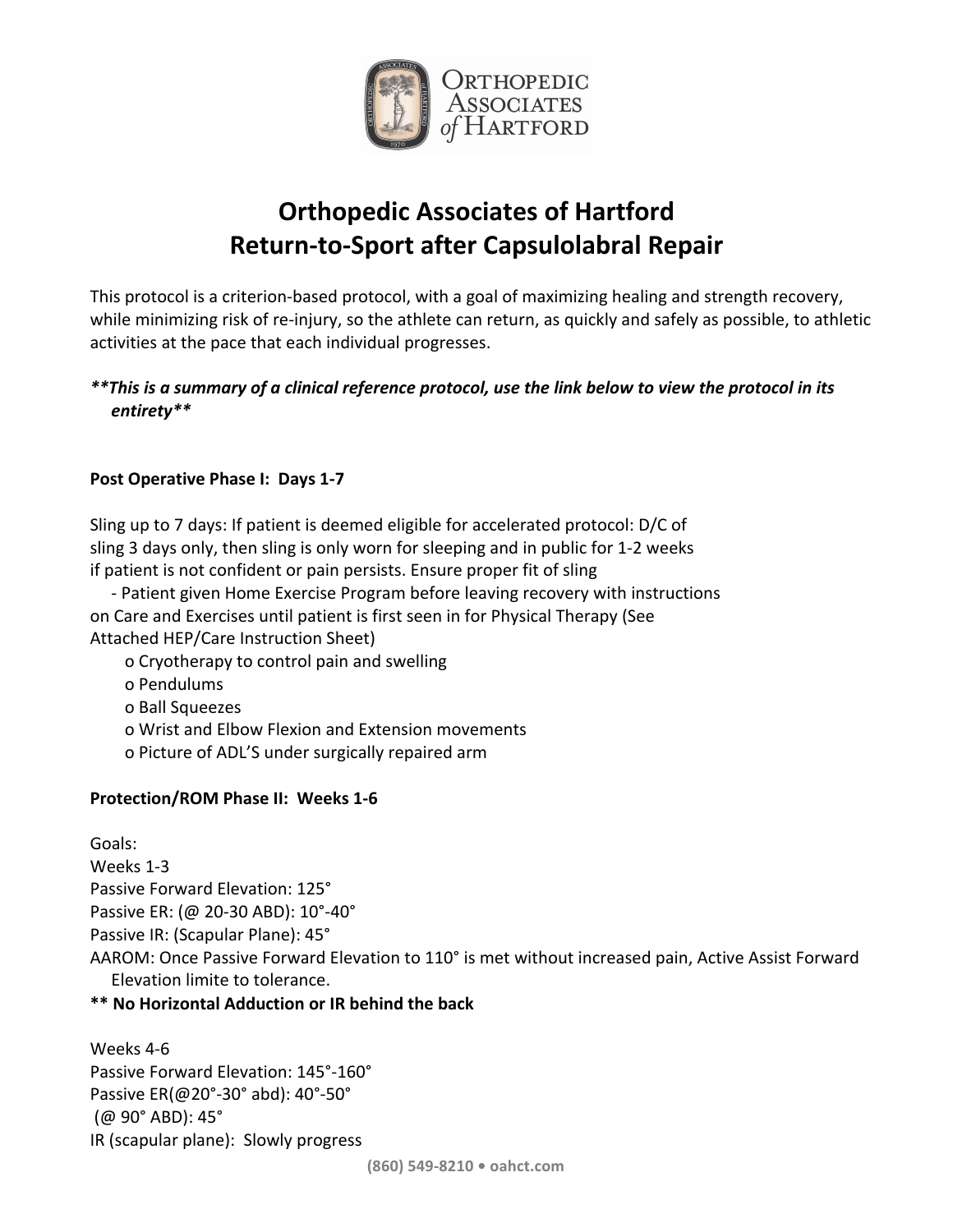

# **Orthopedic Associates of Hartford Return-to-Sport after Capsulolabral Repair**

This protocol is a criterion-based protocol, with a goal of maximizing healing and strength recovery, while minimizing risk of re-injury, so the athlete can return, as quickly and safely as possible, to athletic activities at the pace that each individual progresses.

## *\*\*This* is a summary of a clinical reference protocol, use the link below to view the protocol in its *entirety\*\**

## **Post Operative Phase I: Days 1-7**

Sling up to 7 days: If patient is deemed eligible for accelerated protocol: D/C of sling 3 days only, then sling is only worn for sleeping and in public for 1-2 weeks if patient is not confident or pain persists. Ensure proper fit of sling

- Patient given Home Exercise Program before leaving recovery with instructions on Care and Exercises until patient is first seen in for Physical Therapy (See Attached HEP/Care Instruction Sheet)

o Cryotherapy to control pain and swelling

- o Pendulums
- o Ball Squeezes
- o Wrist and Elbow Flexion and Extension movements
- o Picture of ADL'S under surgically repaired arm

### **Protection/ROM Phase II: Weeks 1-6**

Goals: Weeks 1-3 Passive Forward Elevation: 125° Passive ER: (@ 20-30 ABD): 10°-40° Passive IR: (Scapular Plane): 45° AAROM: Once Passive Forward Elevation to 110° is met without increased pain, Active Assist Forward Elevation limite to tolerance.

### **\*\* No Horizontal Adduction or IR behind the back**

Weeks 4-6 Passive Forward Elevation: 145°-160° Passive ER(@20°-30° abd): 40°-50° (@ 90° ABD): 45° IR (scapular plane): Slowly progress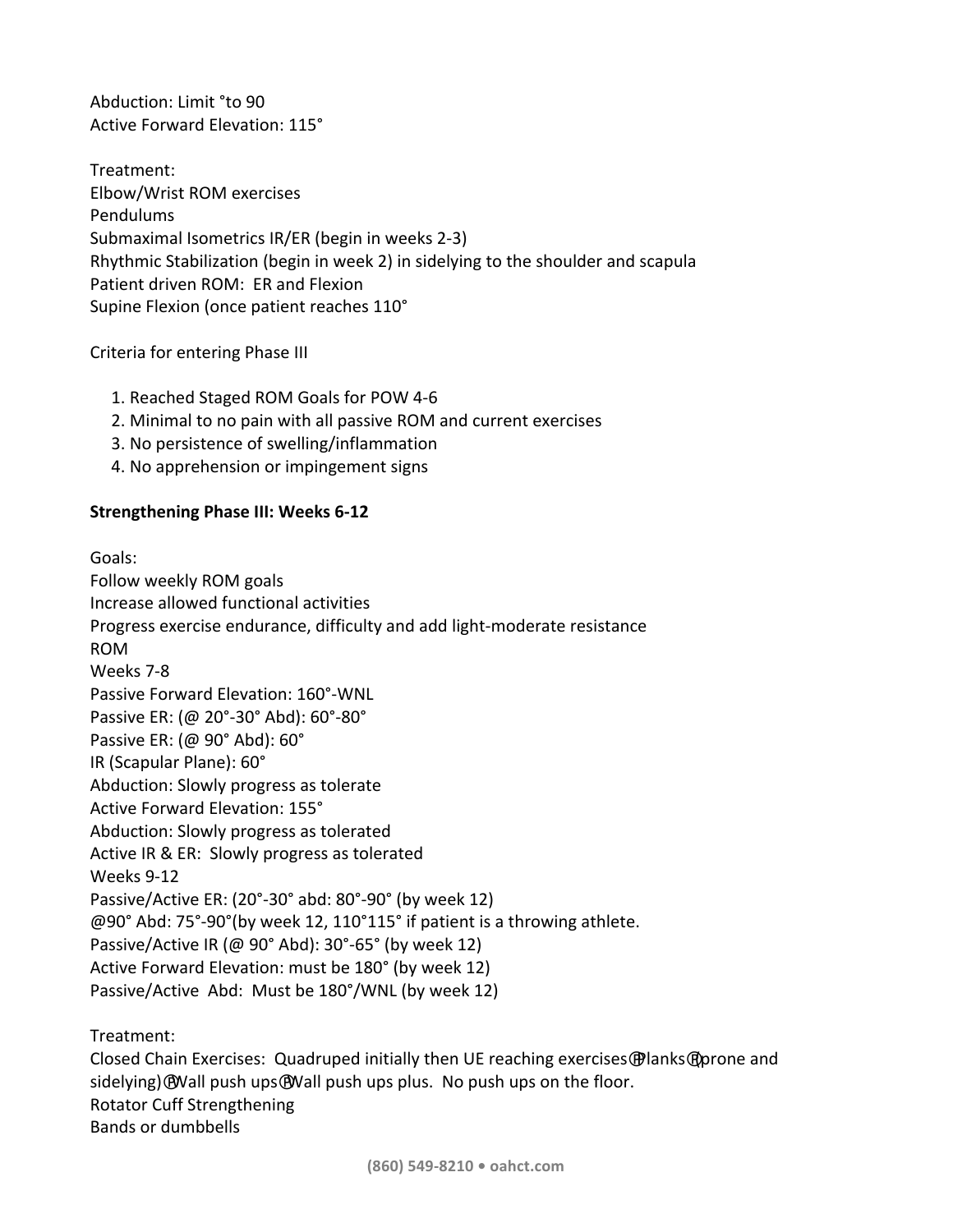Abduction: Limit °to 90 Active Forward Elevation: 115°

Treatment: Elbow/Wrist ROM exercises Pendulums Submaximal Isometrics IR/ER (begin in weeks 2-3) Rhythmic Stabilization (begin in week 2) in sidelying to the shoulder and scapula Patient driven ROM: ER and Flexion Supine Flexion (once patient reaches 110°

Criteria for entering Phase III

- 1. Reached Staged ROM Goals for POW 4-6
- 2. Minimal to no pain with all passive ROM and current exercises
- 3. No persistence of swelling/inflammation
- 4. No apprehension or impingement signs

#### **Strengthening Phase III: Weeks 6-12**

Goals: Follow weekly ROM goals Increase allowed functional activities Progress exercise endurance, difficulty and add light-moderate resistance ROM Weeks 7-8 Passive Forward Elevation: 160°-WNL Passive ER: (@ 20°-30° Abd): 60°-80° Passive ER:  $(\omega 90^\circ \text{ Abd})$ : 60° IR (Scapular Plane): 60° Abduction: Slowly progress as tolerate Active Forward Elevation: 155° Abduction: Slowly progress as tolerated Active IR & ER: Slowly progress as tolerated Weeks 9-12 Passive/Active ER:  $(20^{\circ}-30^{\circ}$  abd:  $80^{\circ}-90^{\circ}$  (by week 12)  $\omega$ 90° Abd: 75°-90°(by week 12, 110°115° if patient is a throwing athlete. Passive/Active IR (@ 90° Abd):  $30^{\circ}$ -65° (by week 12) Active Forward Elevation: must be 180° (by week 12) Passive/Active Abd: Must be 180°/WNL (by week 12)

Treatment:

Closed Chain Exercises: Quadruped initially then UE reaching exercises @lanks@prone and sidelying) $\Theta$ Wall push ups $\Theta$ Wall push ups plus. No push ups on the floor. Rotator Cuff Strengthening Bands or dumbbells